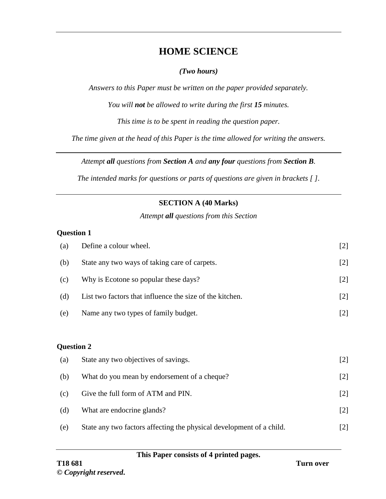# **HOME SCIENCE**

#### *(Two hours)*

*Answers to this Paper must be written on the paper provided separately.*

*You will not be allowed to write during the first 15 minutes.*

*This time is to be spent in reading the question paper.*

*The time given at the head of this Paper is the time allowed for writing the answers.*

*Attempt all questions from Section A and any four questions from Section B.*

*The intended marks for questions or parts of questions are given in brackets [ ].*

# **SECTION A (40 Marks)**

*Attempt all questions from this Section*

#### **Question 1**

| (a)               | Define a colour wheel.                                               | $[2]$ |
|-------------------|----------------------------------------------------------------------|-------|
| (b)               | State any two ways of taking care of carpets.                        | $[2]$ |
| (c)               | Why is Ecotone so popular these days?                                | $[2]$ |
| (d)               | List two factors that influence the size of the kitchen.             | $[2]$ |
| (e)               | Name any two types of family budget.                                 | $[2]$ |
|                   |                                                                      |       |
| <b>Question 2</b> |                                                                      |       |
| (a)               | State any two objectives of savings.                                 | $[2]$ |
| (b)               | What do you mean by endorsement of a cheque?                         | $[2]$ |
| (c)               | Give the full form of ATM and PIN.                                   | $[2]$ |
| (d)               | What are endocrine glands?                                           | $[2]$ |
| (e)               | State any two factors affecting the physical development of a child. | $[2]$ |

|  | This Paper consists of 4 printed pages. |  |  |
|--|-----------------------------------------|--|--|
|  |                                         |  |  |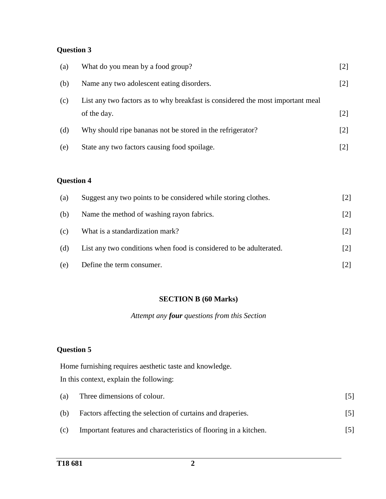# **Question 3**

| (a)               | What do you mean by a food group?                                                             | $[2]$ |
|-------------------|-----------------------------------------------------------------------------------------------|-------|
| (b)               | Name any two adolescent eating disorders.                                                     | $[2]$ |
| (c)               | List any two factors as to why breakfast is considered the most important meal<br>of the day. | $[2]$ |
| (d)               | Why should ripe bananas not be stored in the refrigerator?                                    | $[2]$ |
| (e)               | State any two factors causing food spoilage.                                                  | $[2]$ |
| <b>Question 4</b> |                                                                                               |       |
| (a)               | Suggest any two points to be considered while storing clothes.                                | $[2]$ |
| (b)               | Name the method of washing rayon fabrics.                                                     | $[2]$ |
| (c)               | What is a standardization mark?                                                               | $[2]$ |
| (d)               | List any two conditions when food is considered to be adulterated.                            | $[2]$ |
| (e)               | Define the term consumer.                                                                     | $[2]$ |

#### **SECTION B (60 Marks)**

*Attempt any four questions from this Section*

#### **Question 5**

Home furnishing requires aesthetic taste and knowledge. In this context, explain the following:

| (a) | Three dimensions of colour.                                      | [5] |
|-----|------------------------------------------------------------------|-----|
| (b) | Factors affecting the selection of curtains and draperies.       | [5] |
| (c) | Important features and characteristics of flooring in a kitchen. | [5] |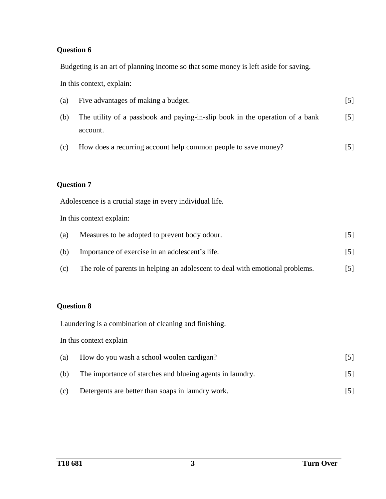### **Question 6**

Budgeting is an art of planning income so that some money is left aside for saving.

In this context, explain:

| (a) | Five advantages of making a budget.                                          | [5]   |
|-----|------------------------------------------------------------------------------|-------|
| (b) | The utility of a passbook and paying-in-slip book in the operation of a bank | $[5]$ |
|     | account.                                                                     |       |
| (c) | How does a recurring account help common people to save money?               | [5]   |

## **Question 7**

Adolescence is a crucial stage in every individual life.

In this context explain:

| (a) | Measures to be adopted to prevent body odour.                                 | 15 I |
|-----|-------------------------------------------------------------------------------|------|
| (b) | Importance of exercise in an adolescent's life.                               | [5]  |
| (c) | The role of parents in helping an adolescent to deal with emotional problems. | [5]  |

### **Question 8**

Laundering is a combination of cleaning and finishing.

In this context explain

| (a) | How do you wash a school woolen cardigan?                 | $\lceil 5 \rceil$ |
|-----|-----------------------------------------------------------|-------------------|
| (b) | The importance of starches and blueing agents in laundry. | $[5]$             |
| (c) | Detergents are better than soaps in laundry work.         |                   |